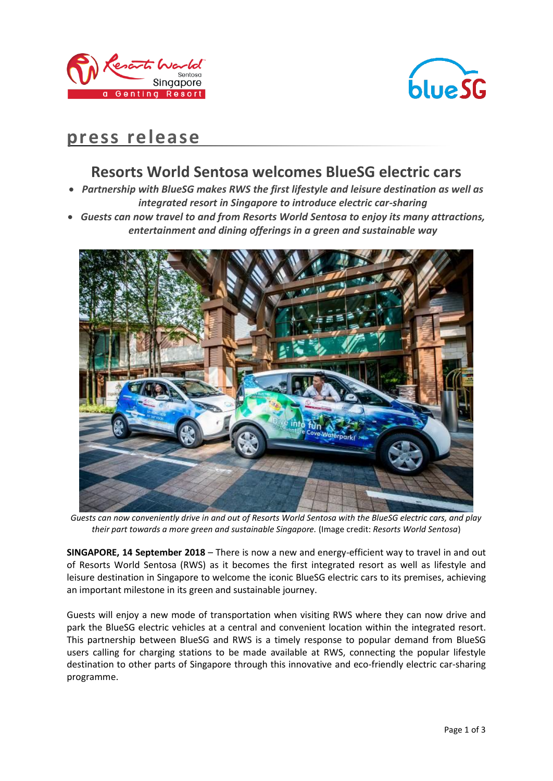



# **press release**

## **Resorts World Sentosa welcomes BlueSG electric cars**

- *Partnership with BlueSG makes RWS the first lifestyle and leisure destination as well as integrated resort in Singapore to introduce electric car-sharing*
- *Guests can now travel to and from Resorts World Sentosa to enjoy its many attractions, entertainment and dining offerings in a green and sustainable way*



*Guests can now conveniently drive in and out of Resorts World Sentosa with the BlueSG electric cars, and play their part towards a more green and sustainable Singapore.* (Image credit: *Resorts World Sentosa*)

**SINGAPORE, 14 September 2018** – There is now a new and energy-efficient way to travel in and out of Resorts World Sentosa (RWS) as it becomes the first integrated resort as well as lifestyle and leisure destination in Singapore to welcome the iconic BlueSG electric cars to its premises, achieving an important milestone in its green and sustainable journey.

Guests will enjoy a new mode of transportation when visiting RWS where they can now drive and park the BlueSG electric vehicles at a central and convenient location within the integrated resort. This partnership between BlueSG and RWS is a timely response to popular demand from BlueSG users calling for charging stations to be made available at RWS, connecting the popular lifestyle destination to other parts of Singapore through this innovative and eco-friendly electric car-sharing programme.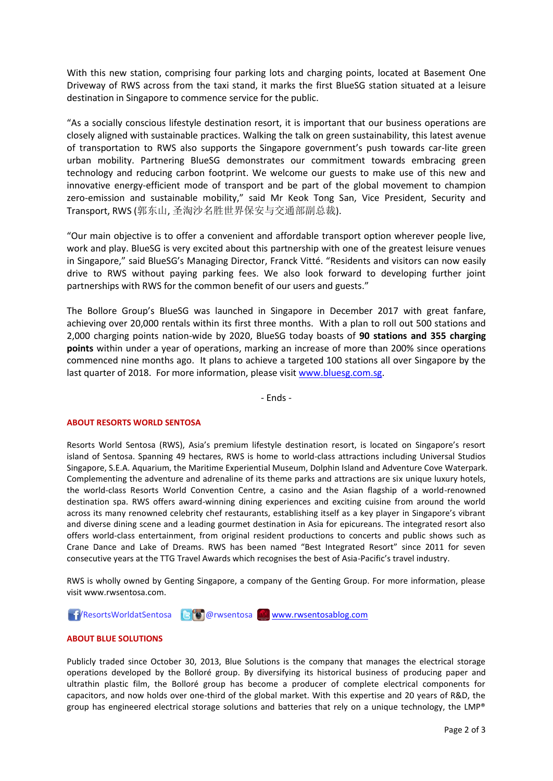With this new station, comprising four parking lots and charging points, located at Basement One Driveway of RWS across from the taxi stand, it marks the first BlueSG station situated at a leisure destination in Singapore to commence service for the public.

"As a socially conscious lifestyle destination resort, it is important that our business operations are closely aligned with sustainable practices. Walking the talk on green sustainability, this latest avenue of transportation to RWS also supports the Singapore government's push towards car-lite green urban mobility. Partnering BlueSG demonstrates our commitment towards embracing green technology and reducing carbon footprint. We welcome our guests to make use of this new and innovative energy-efficient mode of transport and be part of the global movement to champion zero-emission and sustainable mobility," said Mr Keok Tong San, Vice President, Security and Transport, RWS (郭东山, 圣淘沙名胜世界保安与交通部副总裁).

"Our main objective is to offer a convenient and affordable transport option wherever people live, work and play. BlueSG is very excited about this partnership with one of the greatest leisure venues in Singapore," said BlueSG's Managing Director, Franck Vitté. "Residents and visitors can now easily drive to RWS without paying parking fees. We also look forward to developing further joint partnerships with RWS for the common benefit of our users and guests."

The Bollore Group's BlueSG was launched in Singapore in December 2017 with great fanfare, achieving over 20,000 rentals within its first three months. With a plan to roll out 500 stations and 2,000 charging points nation-wide by 2020, BlueSG today boasts of **90 stations and 355 charging points** within under a year of operations, marking an increase of more than 200% since operations commenced nine months ago. It plans to achieve a targeted 100 stations all over Singapore by the last quarter of 2018. For more information, please visit [www.bluesg.com.sg.](http://www.bluesg.com.sg/)

- Ends -

### **ABOUT RESORTS WORLD SENTOSA**

Resorts World Sentosa (RWS), Asia's premium lifestyle destination resort, is located on Singapore's resort island of Sentosa. Spanning 49 hectares, RWS is home to world-class attractions including Universal Studios Singapore, S.E.A. Aquarium, the Maritime Experiential Museum, Dolphin Island and Adventure Cove Waterpark. Complementing the adventure and adrenaline of its theme parks and attractions are six unique luxury hotels, the world-class Resorts World Convention Centre, a casino and the Asian flagship of a world-renowned destination spa. RWS offers award-winning dining experiences and exciting cuisine from around the world across its many renowned celebrity chef restaurants, establishing itself as a key player in Singapore's vibrant and diverse dining scene and a leading gourmet destination in Asia for epicureans. The integrated resort also offers world-class entertainment, from original resident productions to concerts and public shows such as Crane Dance and Lake of Dreams. RWS has been named "Best Integrated Resort" since 2011 for seven consecutive years at the TTG Travel Awards which recognises the best of Asia-Pacific's travel industry.

RWS is wholly owned by Genting Singapore, a company of the Genting Group. For more information, please visi[t www.rwsentosa.com.](http://www.rwsentosa.com/)

**17** ResortsWorldatSentosa **B** @rwsentosa <u>W</u> [www.rwsentosablog.com](http://www.rwsentosablog.com/)

### **ABOUT BLUE SOLUTIONS**

Publicly traded since October 30, 2013, Blue Solutions is the company that manages the electrical storage operations developed by the Bolloré group. By diversifying its historical business of producing paper and ultrathin plastic film, the Bolloré group has become a producer of complete electrical components for capacitors, and now holds over one-third of the global market. With this expertise and 20 years of R&D, the group has engineered electrical storage solutions and batteries that rely on a unique technology, the LMP®